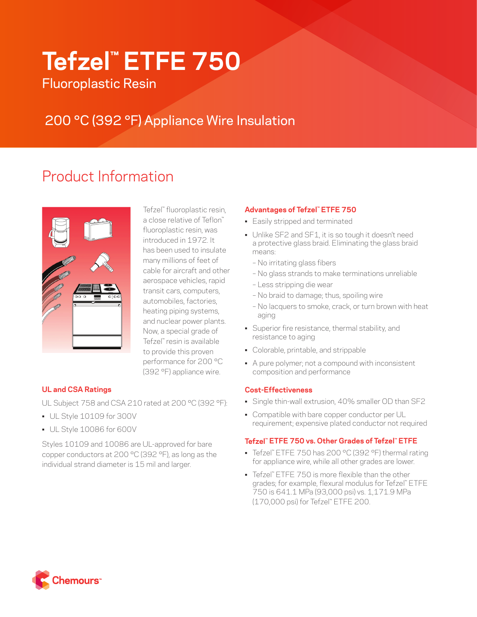# **Tefzel™ ETFE 750**

Fluoroplastic Resin

## 200 °C (392 °F) Appliance Wire Insulation

## Product Information



Tefzel™ fluoroplastic resin, a close relative of Teflon™ fluoroplastic resin, was introduced in 1972. It has been used to insulate many millions of feet of cable for aircraft and other aerospace vehicles, rapid transit cars, computers, automobiles, factories, heating piping systems, and nuclear power plants. Now, a special grade of Tefzel™ resin is available to provide this proven performance for 200 °C (392 °F) appliance wire.

### **UL and CSA Ratings**

UL Subject 758 and CSA 210 rated at 200 °C (392 °F):

- UL Style 10109 for 300V
- UL Style 10086 for 600V

Styles 10109 and 10086 are UL-approved for bare copper conductors at 200 °C (392 °F), as long as the individual strand diameter is 15 mil and larger.

### **Advantages of Tefzel™ ETFE 750**

- Easily stripped and terminated
- Unlike SF2 and SF1, it is so tough it doesn't need a protective glass braid. Eliminating the glass braid means:
	- No irritating glass fibers
	- No glass strands to make terminations unreliable
	- Less stripping die wear
	- No braid to damage; thus, spoiling wire
	- No lacquers to smoke, crack, or turn brown with heat aging
- Superior fire resistance, thermal stability, and resistance to aging
- Colorable, printable, and strippable
- A pure polymer; not a compound with inconsistent composition and performance

#### **Cost-Effectiveness**

- Single thin-wall extrusion, 40% smaller OD than SF2
- Compatible with bare copper conductor per UL requirement; expensive plated conductor not required

#### **Tefzel™ ETFE 750 vs. Other Grades of Tefzel™ ETFE**

- Tefzel™ ETFE 750 has 200 °C (392 °F) thermal rating for appliance wire, while all other grades are lower.
- Tefzel™ ETFE 750 is more flexible than the other grades; for example, flexural modulus for Tefzel™ ETFE 750 is 641.1 MPa (93,000 psi) vs. 1,171.9 MPa (170,000 psi) for Tefzel™ ETFE 200.

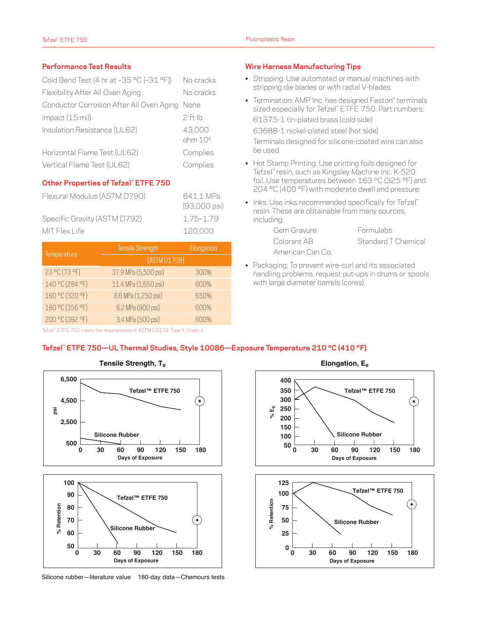#### **Performance Test Results**

| Cold Bend Test (4 hr at -35 °C [-31 °F])      | No cracks                     |  |
|-----------------------------------------------|-------------------------------|--|
| Flexibility After All Oven Aging              | No cracks                     |  |
| Conductor Corrosion After All Oven Aging None |                               |  |
| $Im$ pact (15 mil)                            | 2 ft lb                       |  |
| Insulation Resistance (UL62)                  | 43,000<br>ohm·10 <sup>6</sup> |  |
| Horizontal Flame Test (UL62)                  | Complies                      |  |
| Vertical Flame Test (UL62)                    | Complies                      |  |

#### **Other Properties of Tefzel™ ETFE 750**

| Flexural Modulus (ASTM D790) | 641 1 MPa<br>$(93,000 \text{ psi})$ |
|------------------------------|-------------------------------------|
| Specific Gravity (ASTM D792) | 1 75-1 79                           |
| MIT Flex Life                | 120.000                             |

|                 | Tensile Strength     | Elongation |  |  |
|-----------------|----------------------|------------|--|--|
| Temperature     | (ASTM D1708)         |            |  |  |
| 23 °C (73 °F)   | 37.9 MPa (5,500 psi) | 300%       |  |  |
| 140 °C (284 °F) | 11.4 MPa (1,650 psi) | 600%       |  |  |
| 160 °C (320 °F) | 8.6 MPa (1,250 psi)  | 650%       |  |  |
| 180 °C (356 °F) | 6.2 MPa (900 psi)    | 600%       |  |  |
| 200 °C (392 °F) | 3.4 MPa (500 psi)    | 600%       |  |  |

#### **Wire Harness Manufacturing Tips**

- Stripping: Use automated or manual machines with stripping die blades or with radial V-blades.
- Termination: AMP Inc. has designed Faston\* terminals sized especially for Tefzel™ ETFE 750. Part numbers: 61375-1 tin-plated brass (cold side) 63688-1 nickel-plated steel (hot side) Terminals designed for silicone-coated wire can also be used.
- Hot Stamp Printing: Use printing foils designed for Tefzel™ resin, such as Kingsley Machine Inc. K-520 foil. Use temperatures between 163 °C (325 °F) and 204 °C (400 °F) with moderate dwell and pressure.
- Inks: Use inks recommended specifically for Tefzel™ resin. These are obtainable from many sources, including:

| Gem Gravure      | <b>Formulabs</b>    |
|------------------|---------------------|
| Colorant AB      | Standard T Chemical |
| American Can Co. |                     |

• Packaging: To prevent wire-curl and its associated handling problems, request put-ups in drums or spools with large diameter barrels (cores).

Tefzel™ ETFE 750 meets the requirements of ASTM D3159, Type II, Grade 1

#### **Tefzel™ ETFE 750—UL Thermal Studies, Style 10086—Exposure Temperature 210 °C (410 °F)**





Silicone rubber—literature value 180-day data—Chemours tests



**Days of Exposure**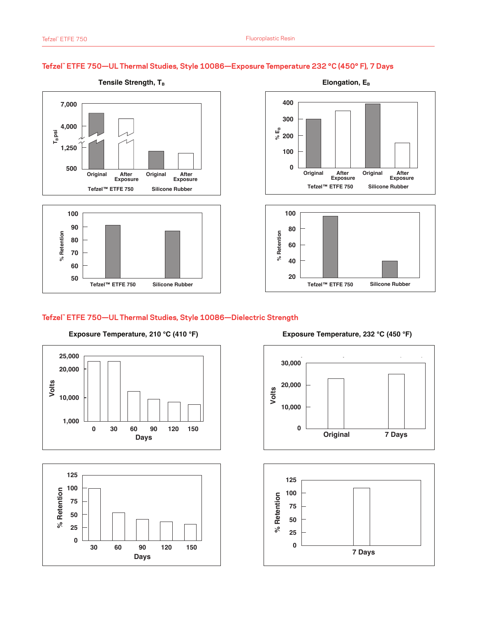#### **Tefzel™ ETFE 750—UL Thermal Studies, Style 10086—Exposure Temperature 232 °C (450° F), 7 Days**







#### **Tefzel™ ETFE 750—UL Thermal Studies, Style 10086—Dielectric Strength**